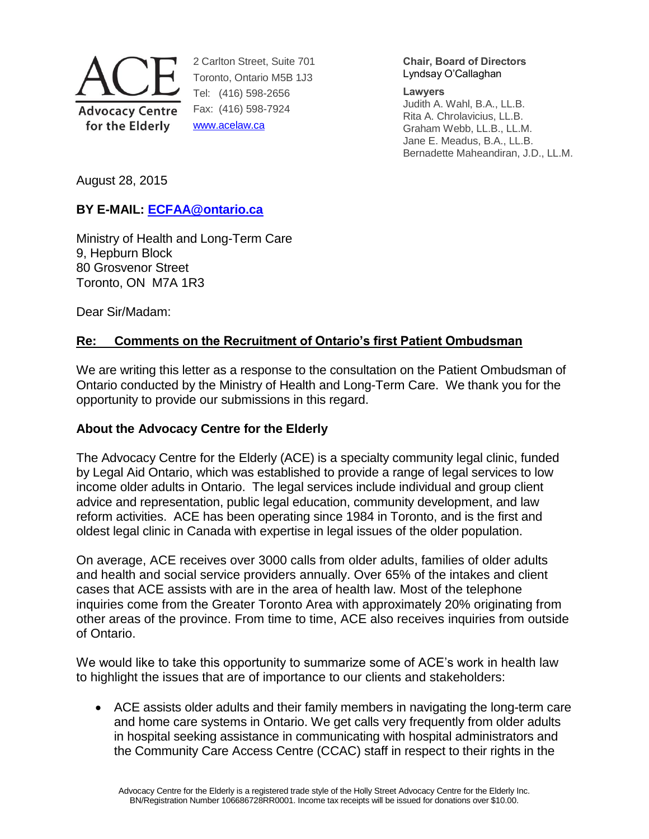

2 Carlton Street, Suite 701 Toronto, Ontario M5B 1J3 Tel: (416) 598-2656 Fax: (416) 598-7924 [www.acelaw.ca](http://www.acelaw.ca/)

**Chair, Board of Directors** Lyndsay O'Callaghan

**Lawyers**

Judith A. Wahl, B.A., LL.B. Rita A. Chrolavicius, LL.B. Graham Webb, LL.B., LL.M. Jane E. Meadus, B.A., LL.B. Bernadette Maheandiran, J.D., LL.M.

August 28, 2015

# **BY E-MAIL: [ECFAA@ontario.ca](mailto:ECFAA@ontario.ca)**

Ministry of Health and Long-Term Care 9, Hepburn Block 80 Grosvenor Street Toronto, ON M7A 1R3

Dear Sir/Madam:

# **Re: Comments on the Recruitment of Ontario's first Patient Ombudsman**

We are writing this letter as a response to the consultation on the Patient Ombudsman of Ontario conducted by the Ministry of Health and Long-Term Care. We thank you for the opportunity to provide our submissions in this regard.

## **About the Advocacy Centre for the Elderly**

The Advocacy Centre for the Elderly (ACE) is a specialty community legal clinic, funded by Legal Aid Ontario, which was established to provide a range of legal services to low income older adults in Ontario. The legal services include individual and group client advice and representation, public legal education, community development, and law reform activities. ACE has been operating since 1984 in Toronto, and is the first and oldest legal clinic in Canada with expertise in legal issues of the older population.

On average, ACE receives over 3000 calls from older adults, families of older adults and health and social service providers annually. Over 65% of the intakes and client cases that ACE assists with are in the area of health law. Most of the telephone inquiries come from the Greater Toronto Area with approximately 20% originating from other areas of the province. From time to time, ACE also receives inquiries from outside of Ontario.

We would like to take this opportunity to summarize some of ACE's work in health law to highlight the issues that are of importance to our clients and stakeholders:

 ACE assists older adults and their family members in navigating the long-term care and home care systems in Ontario. We get calls very frequently from older adults in hospital seeking assistance in communicating with hospital administrators and the Community Care Access Centre (CCAC) staff in respect to their rights in the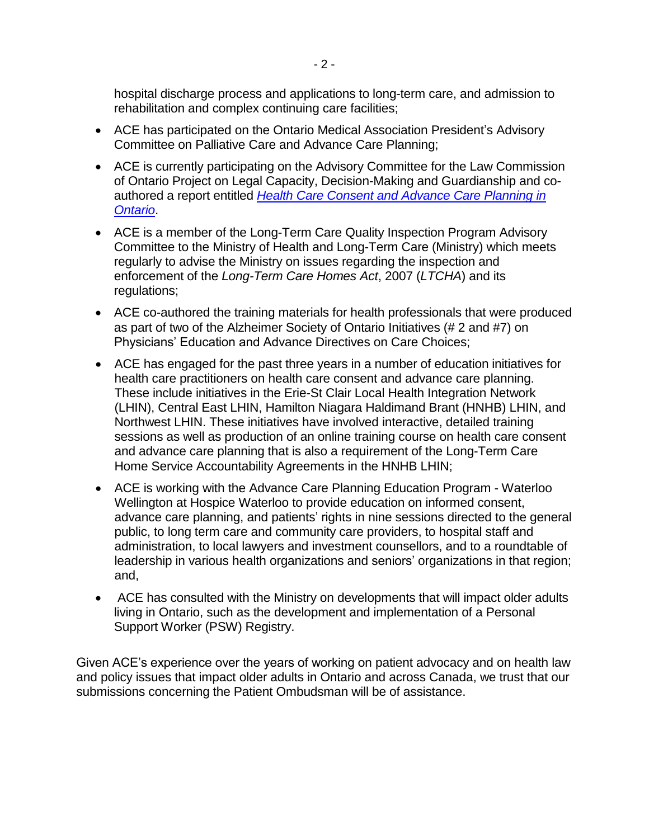hospital discharge process and applications to long-term care, and admission to rehabilitation and complex continuing care facilities;

- ACE has participated on the Ontario Medical Association President's Advisory Committee on Palliative Care and Advance Care Planning;
- ACE is currently participating on the Advisory Committee for the Law Commission of Ontario Project on Legal Capacity, Decision-Making and Guardianship and coauthored a report entitled *[Health Care Consent and Advance Care Planning in](http://www.acelaw.ca/advance_care_planning_-_publications.php)  [Ontario](http://www.acelaw.ca/advance_care_planning_-_publications.php)*.
- ACE is a member of the Long-Term Care Quality Inspection Program Advisory Committee to the Ministry of Health and Long-Term Care (Ministry) which meets regularly to advise the Ministry on issues regarding the inspection and enforcement of the *Long-Term Care Homes Act*, 2007 (*LTCHA*) and its regulations;
- ACE co-authored the training materials for health professionals that were produced as part of two of the Alzheimer Society of Ontario Initiatives (# 2 and #7) on Physicians' Education and Advance Directives on Care Choices;
- ACE has engaged for the past three years in a number of education initiatives for health care practitioners on health care consent and advance care planning. These include initiatives in the Erie-St Clair Local Health Integration Network (LHIN), Central East LHIN, Hamilton Niagara Haldimand Brant (HNHB) LHIN, and Northwest LHIN. These initiatives have involved interactive, detailed training sessions as well as production of an online training course on health care consent and advance care planning that is also a requirement of the Long-Term Care Home Service Accountability Agreements in the HNHB LHIN;
- ACE is working with the Advance Care Planning Education Program Waterloo Wellington at Hospice Waterloo to provide education on informed consent, advance care planning, and patients' rights in nine sessions directed to the general public, to long term care and community care providers, to hospital staff and administration, to local lawyers and investment counsellors, and to a roundtable of leadership in various health organizations and seniors' organizations in that region; and,
- ACE has consulted with the Ministry on developments that will impact older adults living in Ontario, such as the development and implementation of a Personal Support Worker (PSW) Registry.

Given ACE's experience over the years of working on patient advocacy and on health law and policy issues that impact older adults in Ontario and across Canada, we trust that our submissions concerning the Patient Ombudsman will be of assistance.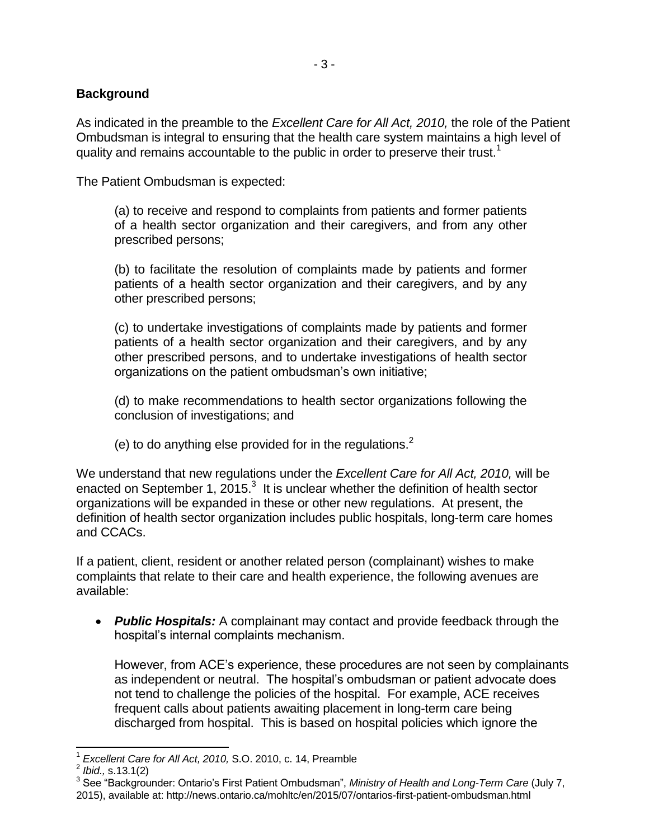### **Background**

As indicated in the preamble to the *Excellent Care for All Act, 2010,* the role of the Patient Ombudsman is integral to ensuring that the health care system maintains a high level of quality and remains accountable to the public in order to preserve their trust.<sup>1</sup>

The Patient Ombudsman is expected:

<span id="page-2-0"></span>(a) to receive and respond to complaints from patients and former patients of a health sector organization and their caregivers, and from any other prescribed persons;

(b) to facilitate the resolution of complaints made by patients and former patients of a health sector organization and their caregivers, and by any other prescribed persons;

(c) to undertake investigations of complaints made by patients and former patients of a health sector organization and their caregivers, and by any other prescribed persons, and to undertake investigations of health sector organizations on the patient ombudsman's own initiative;

(d) to make recommendations to health sector organizations following the conclusion of investigations; and

(e) to do anything else provided for in the regulations. $2$ 

We understand that new regulations under the *Excellent Care for All Act, 2010,* will be enacted on September 1,  $2015.<sup>3</sup>$  It is unclear whether the definition of health sector organizations will be expanded in these or other new regulations. At present, the definition of health sector organization includes public hospitals, long-term care homes and CCACs.

If a patient, client, resident or another related person (complainant) wishes to make complaints that relate to their care and health experience, the following avenues are available:

 *Public Hospitals:* A complainant may contact and provide feedback through the hospital's internal complaints mechanism.

However, from ACE's experience, these procedures are not seen by complainants as independent or neutral. The hospital's ombudsman or patient advocate does not tend to challenge the policies of the hospital. For example, ACE receives frequent calls about patients awaiting placement in long-term care being discharged from hospital. This is based on hospital policies which ignore the

 $\overline{a}$ 

<sup>1</sup> *Excellent Care for All Act, 2010,* S.O. 2010, c. 14, Preamble

<sup>2</sup> *Ibid.,* s.13.1(2)

<sup>3</sup> See "Backgrounder: Ontario's First Patient Ombudsman", *Ministry of Health and Long-Term Care* (July 7, 2015), available at: http://news.ontario.ca/mohltc/en/2015/07/ontarios-first-patient-ombudsman.html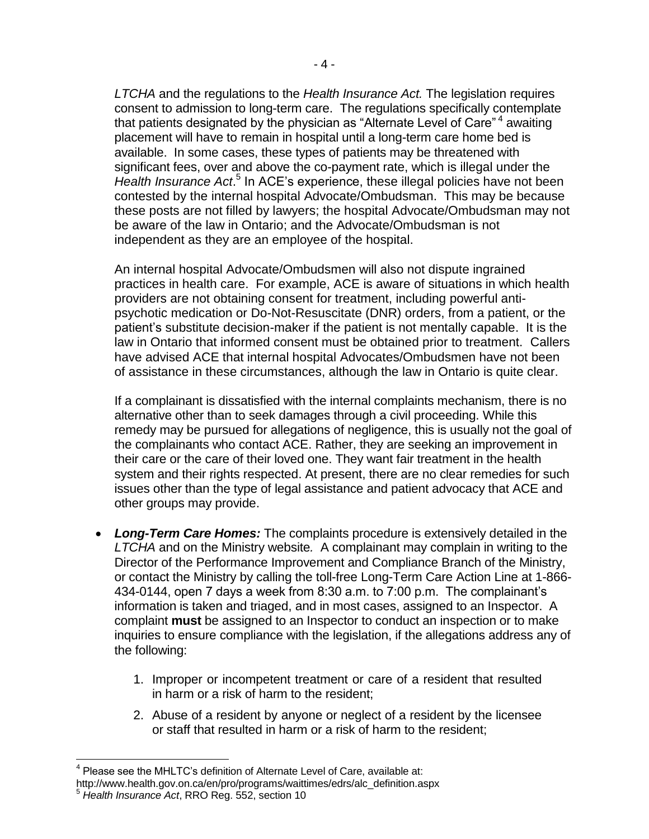*LTCHA* and the regulations to the *Health Insurance Act.* The legislation requires consent to admission to long-term care. The regulations specifically contemplate that patients designated by the physician as "Alternate Level of Care"<sup>4</sup> awaiting placement will have to remain in hospital until a long-term care home bed is available. In some cases, these types of patients may be threatened with significant fees, over and above the co-payment rate, which is illegal under the Health Insurance Act.<sup>5</sup> In ACE's experience, these illegal policies have not been contested by the internal hospital Advocate/Ombudsman. This may be because these posts are not filled by lawyers; the hospital Advocate/Ombudsman may not be aware of the law in Ontario; and the Advocate/Ombudsman is not independent as they are an employee of the hospital.

An internal hospital Advocate/Ombudsmen will also not dispute ingrained practices in health care. For example, ACE is aware of situations in which health providers are not obtaining consent for treatment, including powerful antipsychotic medication or Do-Not-Resuscitate (DNR) orders, from a patient, or the patient's substitute decision-maker if the patient is not mentally capable. It is the law in Ontario that informed consent must be obtained prior to treatment. Callers have advised ACE that internal hospital Advocates/Ombudsmen have not been of assistance in these circumstances, although the law in Ontario is quite clear.

If a complainant is dissatisfied with the internal complaints mechanism, there is no alternative other than to seek damages through a civil proceeding. While this remedy may be pursued for allegations of negligence, this is usually not the goal of the complainants who contact ACE. Rather, they are seeking an improvement in their care or the care of their loved one. They want fair treatment in the health system and their rights respected. At present, there are no clear remedies for such issues other than the type of legal assistance and patient advocacy that ACE and other groups may provide.

- *Long-Term Care Homes:* The complaints procedure is extensively detailed in the *LTCHA* and on the Ministry website*.* A complainant may complain in writing to the Director of the Performance Improvement and Compliance Branch of the Ministry, or contact the Ministry by calling the toll-free Long-Term Care Action Line at 1-866- 434-0144, open 7 days a week from 8:30 a.m. to 7:00 p.m. The complainant's information is taken and triaged, and in most cases, assigned to an Inspector. A complaint **must** be assigned to an Inspector to conduct an inspection or to make inquiries to ensure compliance with the legislation, if the allegations address any of the following:
	- 1. Improper or incompetent treatment or care of a resident that resulted in harm or a risk of harm to the resident;
	- 2. Abuse of a resident by anyone or neglect of a resident by the licensee or staff that resulted in harm or a risk of harm to the resident;

 $\overline{a}$ <sup>4</sup> Please see the MHLTC's definition of Alternate Level of Care, available at:

http://www.health.gov.on.ca/en/pro/programs/waittimes/edrs/alc\_definition.aspx

<sup>5</sup> *Health Insurance Act*, RRO Reg. 552, section 10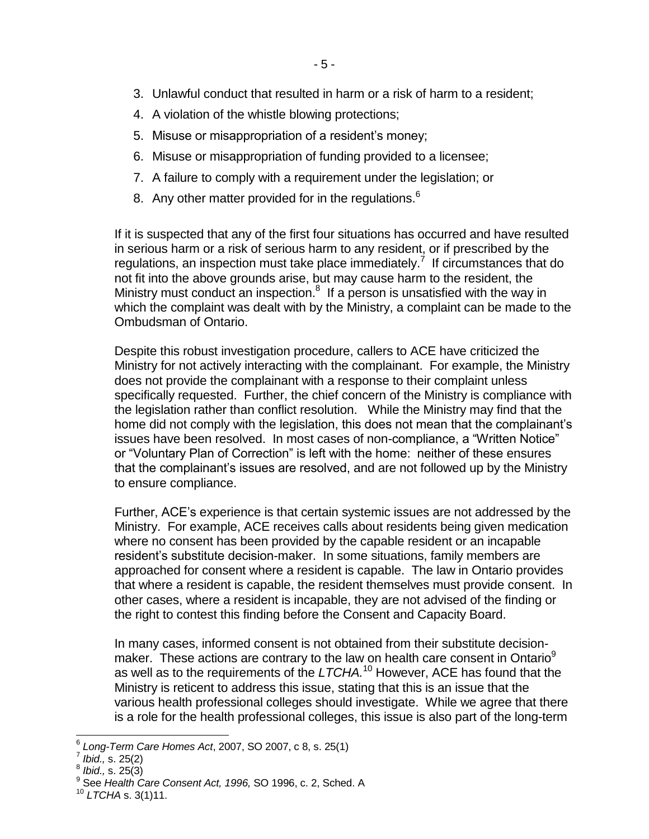- 3. Unlawful conduct that resulted in harm or a risk of harm to a resident;
- 4. A violation of the whistle blowing protections;
- 5. Misuse or misappropriation of a resident's money;
- 6. Misuse or misappropriation of funding provided to a licensee;
- 7. A failure to comply with a requirement under the legislation; or
- <span id="page-4-0"></span>8. Any other matter provided for in the regulations.<sup>6</sup>

If it is suspected that any of the first four situations has occurred and have resulted in serious harm or a risk of serious harm to any resident, or if prescribed by the regulations, an inspection must take place immediately.<sup>7</sup> If circumstances that do not fit into the above grounds arise, but may cause harm to the resident, the Ministry must conduct an inspection. $8$  If a person is unsatisfied with the way in which the complaint was dealt with by the Ministry, a complaint can be made to the Ombudsman of Ontario.

Despite this robust investigation procedure, callers to ACE have criticized the Ministry for not actively interacting with the complainant. For example, the Ministry does not provide the complainant with a response to their complaint unless specifically requested. Further, the chief concern of the Ministry is compliance with the legislation rather than conflict resolution. While the Ministry may find that the home did not comply with the legislation, this does not mean that the complainant's issues have been resolved. In most cases of non-compliance, a "Written Notice" or "Voluntary Plan of Correction" is left with the home: neither of these ensures that the complainant's issues are resolved, and are not followed up by the Ministry to ensure compliance.

Further, ACE's experience is that certain systemic issues are not addressed by the Ministry. For example, ACE receives calls about residents being given medication where no consent has been provided by the capable resident or an incapable resident's substitute decision-maker. In some situations, family members are approached for consent where a resident is capable. The law in Ontario provides that where a resident is capable, the resident themselves must provide consent. In other cases, where a resident is incapable, they are not advised of the finding or the right to contest this finding before the Consent and Capacity Board.

In many cases, informed consent is not obtained from their substitute decisionmaker. These actions are contrary to the law on health care consent in Ontario<sup>9</sup> as well as to the requirements of the LTCHA.<sup>10</sup> However, ACE has found that the Ministry is reticent to address this issue, stating that this is an issue that the various health professional colleges should investigate. While we agree that there is a role for the health professional colleges, this issue is also part of the long-term

j 6 *Long-Term Care Homes Act*, 2007, SO 2007, c 8, s. 25(1)

<sup>7</sup> *Ibid.,* s. 25(2)

<sup>8</sup> *Ibid.,* s. 25(3)

<sup>9</sup> See *Health Care Consent Act, 1996,* SO 1996, c. 2, Sched. A

<sup>10</sup> *LTCHA* s. 3(1)11.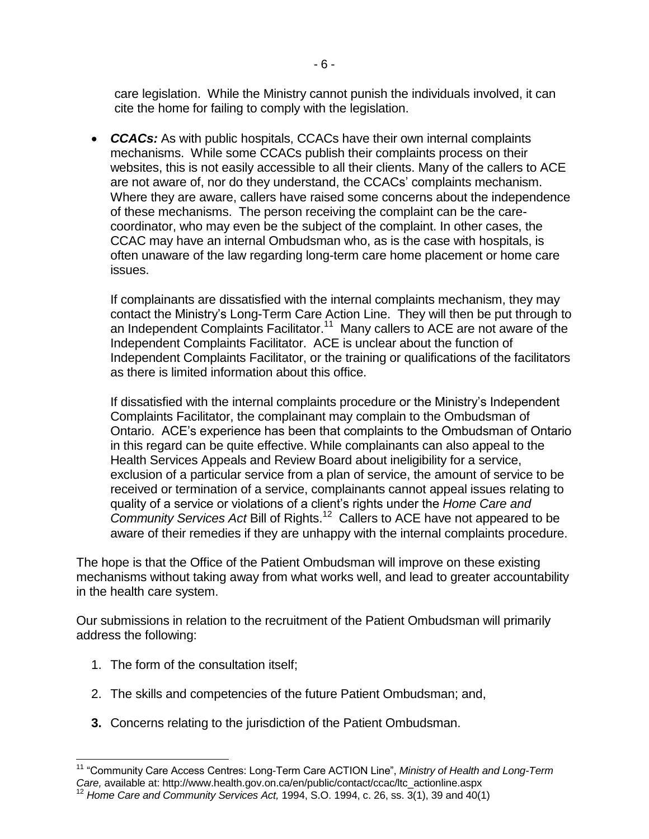care legislation. While the Ministry cannot punish the individuals involved, it can cite the home for failing to comply with the legislation.

- 6 -

 *CCACs:* As with public hospitals, CCACs have their own internal complaints mechanisms. While some CCACs publish their complaints process on their websites, this is not easily accessible to all their clients. Many of the callers to ACE are not aware of, nor do they understand, the CCACs' complaints mechanism. Where they are aware, callers have raised some concerns about the independence of these mechanisms. The person receiving the complaint can be the carecoordinator, who may even be the subject of the complaint. In other cases, the CCAC may have an internal Ombudsman who, as is the case with hospitals, is often unaware of the law regarding long-term care home placement or home care issues.

If complainants are dissatisfied with the internal complaints mechanism, they may contact the Ministry's Long-Term Care Action Line. They will then be put through to an Independent Complaints Facilitator.<sup>11</sup> Many callers to ACE are not aware of the Independent Complaints Facilitator. ACE is unclear about the function of Independent Complaints Facilitator, or the training or qualifications of the facilitators as there is limited information about this office.

If dissatisfied with the internal complaints procedure or the Ministry's Independent Complaints Facilitator, the complainant may complain to the Ombudsman of Ontario. ACE's experience has been that complaints to the Ombudsman of Ontario in this regard can be quite effective. While complainants can also appeal to the Health Services Appeals and Review Board about ineligibility for a service, exclusion of a particular service from a plan of service, the amount of service to be received or termination of a service, complainants cannot appeal issues relating to quality of a service or violations of a client's rights under the *Home Care and*  Community Services Act Bill of Rights.<sup>12</sup> Callers to ACE have not appeared to be aware of their remedies if they are unhappy with the internal complaints procedure.

The hope is that the Office of the Patient Ombudsman will improve on these existing mechanisms without taking away from what works well, and lead to greater accountability in the health care system.

Our submissions in relation to the recruitment of the Patient Ombudsman will primarily address the following:

- 1. The form of the consultation itself;
- 2. The skills and competencies of the future Patient Ombudsman; and,
- **3.** Concerns relating to the jurisdiction of the Patient Ombudsman.

 $\overline{a}$ <sup>11</sup> "Community Care Access Centres: Long-Term Care ACTION Line", *Ministry of Health and Long-Term Care,* available at: http://www.health.gov.on.ca/en/public/contact/ccac/ltc\_actionline.aspx <sup>12</sup> *Home Care and Community Services Act,* 1994, S.O. 1994, c. 26, ss. 3(1), 39 and 40(1)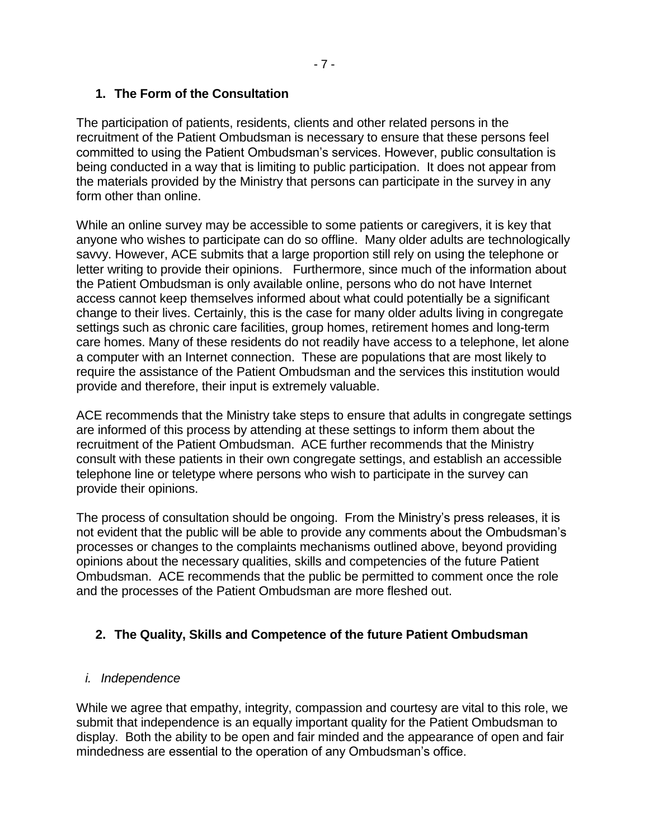### **1. The Form of the Consultation**

The participation of patients, residents, clients and other related persons in the recruitment of the Patient Ombudsman is necessary to ensure that these persons feel committed to using the Patient Ombudsman's services. However, public consultation is being conducted in a way that is limiting to public participation. It does not appear from the materials provided by the Ministry that persons can participate in the survey in any form other than online.

While an online survey may be accessible to some patients or caregivers, it is key that anyone who wishes to participate can do so offline. Many older adults are technologically savvy. However, ACE submits that a large proportion still rely on using the telephone or letter writing to provide their opinions. Furthermore, since much of the information about the Patient Ombudsman is only available online, persons who do not have Internet access cannot keep themselves informed about what could potentially be a significant change to their lives. Certainly, this is the case for many older adults living in congregate settings such as chronic care facilities, group homes, retirement homes and long-term care homes. Many of these residents do not readily have access to a telephone, let alone a computer with an Internet connection. These are populations that are most likely to require the assistance of the Patient Ombudsman and the services this institution would provide and therefore, their input is extremely valuable.

ACE recommends that the Ministry take steps to ensure that adults in congregate settings are informed of this process by attending at these settings to inform them about the recruitment of the Patient Ombudsman. ACE further recommends that the Ministry consult with these patients in their own congregate settings, and establish an accessible telephone line or teletype where persons who wish to participate in the survey can provide their opinions.

The process of consultation should be ongoing. From the Ministry's press releases, it is not evident that the public will be able to provide any comments about the Ombudsman's processes or changes to the complaints mechanisms outlined above, beyond providing opinions about the necessary qualities, skills and competencies of the future Patient Ombudsman. ACE recommends that the public be permitted to comment once the role and the processes of the Patient Ombudsman are more fleshed out.

## **2. The Quality, Skills and Competence of the future Patient Ombudsman**

#### *i. Independence*

While we agree that empathy, integrity, compassion and courtesy are vital to this role, we submit that independence is an equally important quality for the Patient Ombudsman to display. Both the ability to be open and fair minded and the appearance of open and fair mindedness are essential to the operation of any Ombudsman's office.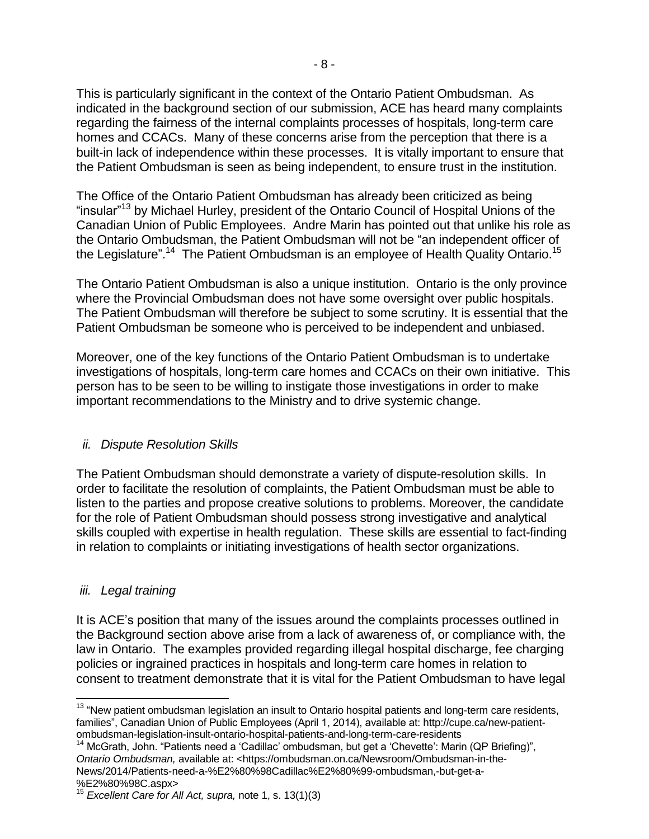This is particularly significant in the context of the Ontario Patient Ombudsman. As indicated in the background section of our submission, ACE has heard many complaints regarding the fairness of the internal complaints processes of hospitals, long-term care homes and CCACs. Many of these concerns arise from the perception that there is a built-in lack of independence within these processes. It is vitally important to ensure that the Patient Ombudsman is seen as being independent, to ensure trust in the institution.

The Office of the Ontario Patient Ombudsman has already been criticized as being "insular"<sup>13</sup> by Michael Hurley, president of the Ontario Council of Hospital Unions of the Canadian Union of Public Employees. Andre Marin has pointed out that unlike his role as the Ontario Ombudsman, the Patient Ombudsman will not be "an independent officer of the Legislature".<sup>14</sup> The Patient Ombudsman is an employee of Health Quality Ontario.<sup>15</sup>

The Ontario Patient Ombudsman is also a unique institution. Ontario is the only province where the Provincial Ombudsman does not have some oversight over public hospitals. The Patient Ombudsman will therefore be subject to some scrutiny. It is essential that the Patient Ombudsman be someone who is perceived to be independent and unbiased.

Moreover, one of the key functions of the Ontario Patient Ombudsman is to undertake investigations of hospitals, long-term care homes and CCACs on their own initiative. This person has to be seen to be willing to instigate those investigations in order to make important recommendations to the Ministry and to drive systemic change.

#### *ii. Dispute Resolution Skills*

The Patient Ombudsman should demonstrate a variety of dispute-resolution skills. In order to facilitate the resolution of complaints, the Patient Ombudsman must be able to listen to the parties and propose creative solutions to problems. Moreover, the candidate for the role of Patient Ombudsman should possess strong investigative and analytical skills coupled with expertise in health regulation. These skills are essential to fact-finding in relation to complaints or initiating investigations of health sector organizations.

#### *iii. Legal training*

l

It is ACE's position that many of the issues around the complaints processes outlined in the Background section above arise from a lack of awareness of, or compliance with, the law in Ontario. The examples provided regarding illegal hospital discharge, fee charging policies or ingrained practices in hospitals and long-term care homes in relation to consent to treatment demonstrate that it is vital for the Patient Ombudsman to have legal

<sup>&</sup>lt;sup>13</sup> "New patient ombudsman legislation an insult to Ontario hospital patients and long-term care residents, families", Canadian Union of Public Employees (April 1, 2014), available at: http://cupe.ca/new-patientombudsman-legislation-insult-ontario-hospital-patients-and-long-term-care-residents

<sup>&</sup>lt;sup>14</sup> McGrath, John. "Patients need a 'Cadillac' ombudsman, but get a 'Chevette': Marin (QP Briefing)", *Ontario Ombudsman,* available at: <https://ombudsman.on.ca/Newsroom/Ombudsman-in-the-News/2014/Patients-need-a-%E2%80%98Cadillac%E2%80%99-ombudsman,-but-get-a- %E2%80%98C.aspx>

<sup>15</sup> *Excellent Care for All Act, supra,* note [1,](#page-2-0) s. 13(1)(3)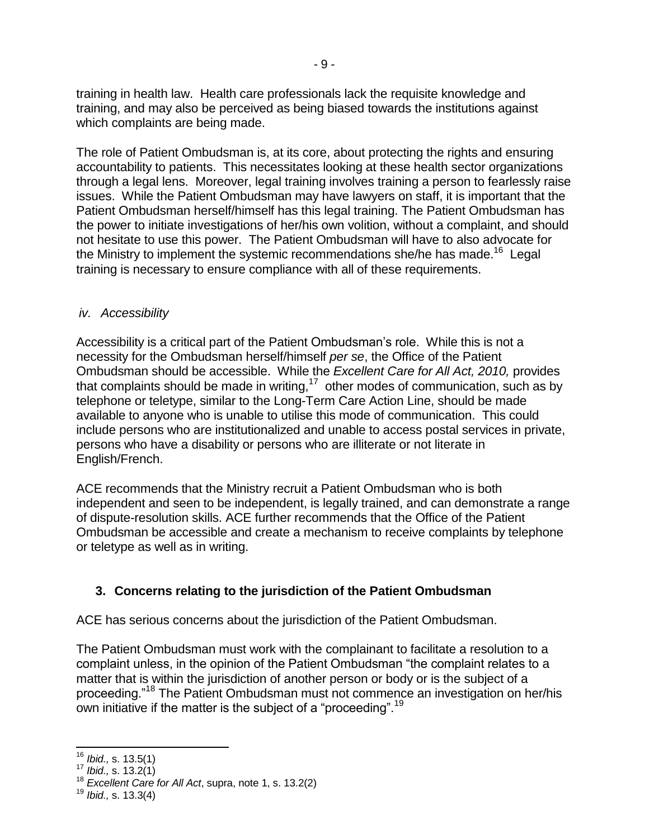training in health law. Health care professionals lack the requisite knowledge and training, and may also be perceived as being biased towards the institutions against which complaints are being made.

The role of Patient Ombudsman is, at its core, about protecting the rights and ensuring accountability to patients. This necessitates looking at these health sector organizations through a legal lens. Moreover, legal training involves training a person to fearlessly raise issues. While the Patient Ombudsman may have lawyers on staff, it is important that the Patient Ombudsman herself/himself has this legal training. The Patient Ombudsman has the power to initiate investigations of her/his own volition, without a complaint, and should not hesitate to use this power. The Patient Ombudsman will have to also advocate for the Ministry to implement the systemic recommendations she/he has made.<sup>16</sup> Legal training is necessary to ensure compliance with all of these requirements.

### *iv. Accessibility*

Accessibility is a critical part of the Patient Ombudsman's role. While this is not a necessity for the Ombudsman herself/himself *per se*, the Office of the Patient Ombudsman should be accessible. While the *Excellent Care for All Act, 2010,* provides that complaints should be made in writing, $17$  other modes of communication, such as by telephone or teletype, similar to the Long-Term Care Action Line, should be made available to anyone who is unable to utilise this mode of communication. This could include persons who are institutionalized and unable to access postal services in private, persons who have a disability or persons who are illiterate or not literate in English/French.

ACE recommends that the Ministry recruit a Patient Ombudsman who is both independent and seen to be independent, is legally trained, and can demonstrate a range of dispute-resolution skills. ACE further recommends that the Office of the Patient Ombudsman be accessible and create a mechanism to receive complaints by telephone or teletype as well as in writing.

# **3. Concerns relating to the jurisdiction of the Patient Ombudsman**

ACE has serious concerns about the jurisdiction of the Patient Ombudsman.

The Patient Ombudsman must work with the complainant to facilitate a resolution to a complaint unless, in the opinion of the Patient Ombudsman "the complaint relates to a matter that is within the jurisdiction of another person or body or is the subject of a proceeding."<sup>18</sup> The Patient Ombudsman must not commence an investigation on her/his own initiative if the matter is the subject of a "proceeding".<sup>19</sup>

 $\overline{a}$ 

<sup>16</sup> *Ibid.,* s. 13.5(1)

<sup>17</sup> *Ibid.,* s. 13.2(1)

<sup>18</sup> *Excellent Care for All Act*, supra, note 1, s. 13.2(2)

<sup>19</sup> *Ibid.,* s. 13.3(4)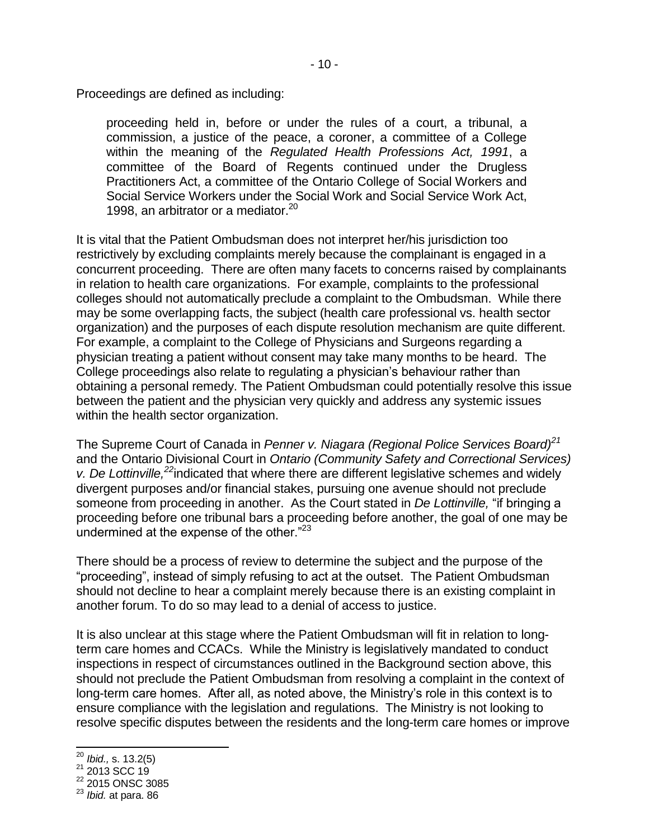Proceedings are defined as including:

proceeding held in, before or under the rules of a court, a tribunal, a commission, a justice of the peace, a coroner, a committee of a College within the meaning of the *Regulated Health Professions Act, 1991*, a committee of the Board of Regents continued under the Drugless Practitioners Act, a committee of the Ontario College of Social Workers and Social Service Workers under the Social Work and Social Service Work Act, 1998, an arbitrator or a mediator.<sup>20</sup>

It is vital that the Patient Ombudsman does not interpret her/his jurisdiction too restrictively by excluding complaints merely because the complainant is engaged in a concurrent proceeding. There are often many facets to concerns raised by complainants in relation to health care organizations. For example, complaints to the professional colleges should not automatically preclude a complaint to the Ombudsman. While there may be some overlapping facts, the subject (health care professional vs. health sector organization) and the purposes of each dispute resolution mechanism are quite different. For example, a complaint to the College of Physicians and Surgeons regarding a physician treating a patient without consent may take many months to be heard. The College proceedings also relate to regulating a physician's behaviour rather than obtaining a personal remedy. The Patient Ombudsman could potentially resolve this issue between the patient and the physician very quickly and address any systemic issues within the health sector organization.

The Supreme Court of Canada in *Penner v. Niagara (Regional Police Services Board)<sup>21</sup>* and the Ontario Divisional Court in *Ontario (Community Safety and Correctional Services) v. De Lottinville,<sup>22</sup>*indicated that where there are different legislative schemes and widely divergent purposes and/or financial stakes, pursuing one avenue should not preclude someone from proceeding in another. As the Court stated in *De Lottinville,* "if bringing a proceeding before one tribunal bars a proceeding before another, the goal of one may be undermined at the expense of the other. $"^{23}$ 

There should be a process of review to determine the subject and the purpose of the "proceeding", instead of simply refusing to act at the outset. The Patient Ombudsman should not decline to hear a complaint merely because there is an existing complaint in another forum. To do so may lead to a denial of access to justice.

It is also unclear at this stage where the Patient Ombudsman will fit in relation to longterm care homes and CCACs. While the Ministry is legislatively mandated to conduct inspections in respect of circumstances outlined in the Background section above, this should not preclude the Patient Ombudsman from resolving a complaint in the context of long-term care homes. After all, as noted above, the Ministry's role in this context is to ensure compliance with the legislation and regulations. The Ministry is not looking to resolve specific disputes between the residents and the long-term care homes or improve

j

<sup>20</sup> *Ibid.,* s. 13.2(5)

 $^{21}$  2013 SCC 19

 $22$  2015 ONSC 3085

<sup>23</sup> *Ibid.* at para. 86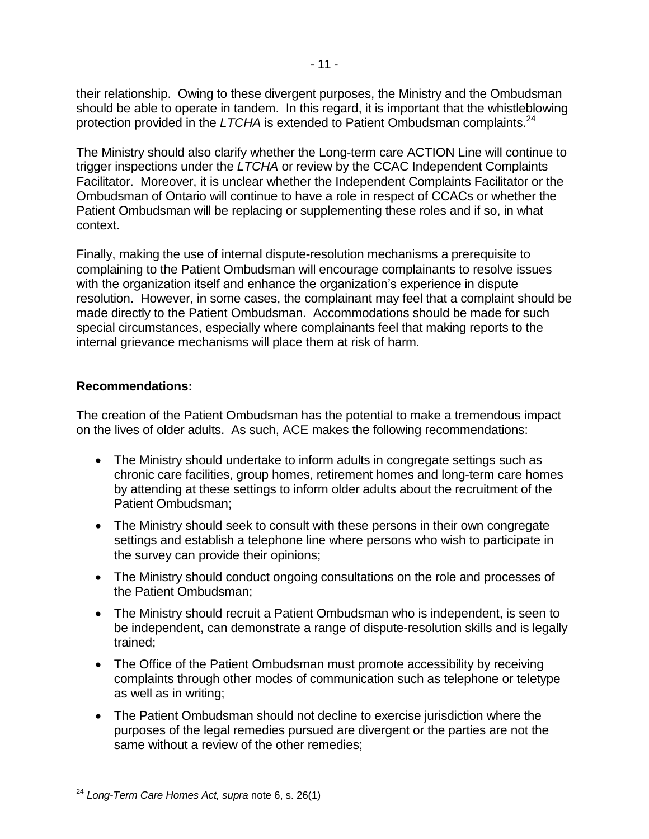their relationship. Owing to these divergent purposes, the Ministry and the Ombudsman should be able to operate in tandem. In this regard, it is important that the whistleblowing protection provided in the *LTCHA* is extended to Patient Ombudsman complaints.<sup>24</sup>

The Ministry should also clarify whether the Long-term care ACTION Line will continue to trigger inspections under the *LTCHA* or review by the CCAC Independent Complaints Facilitator. Moreover, it is unclear whether the Independent Complaints Facilitator or the Ombudsman of Ontario will continue to have a role in respect of CCACs or whether the Patient Ombudsman will be replacing or supplementing these roles and if so, in what context.

Finally, making the use of internal dispute-resolution mechanisms a prerequisite to complaining to the Patient Ombudsman will encourage complainants to resolve issues with the organization itself and enhance the organization's experience in dispute resolution. However, in some cases, the complainant may feel that a complaint should be made directly to the Patient Ombudsman. Accommodations should be made for such special circumstances, especially where complainants feel that making reports to the internal grievance mechanisms will place them at risk of harm.

#### **Recommendations:**

The creation of the Patient Ombudsman has the potential to make a tremendous impact on the lives of older adults. As such, ACE makes the following recommendations:

- The Ministry should undertake to inform adults in congregate settings such as chronic care facilities, group homes, retirement homes and long-term care homes by attending at these settings to inform older adults about the recruitment of the Patient Ombudsman;
- The Ministry should seek to consult with these persons in their own congregate settings and establish a telephone line where persons who wish to participate in the survey can provide their opinions;
- The Ministry should conduct ongoing consultations on the role and processes of the Patient Ombudsman;
- The Ministry should recruit a Patient Ombudsman who is independent, is seen to be independent, can demonstrate a range of dispute-resolution skills and is legally trained;
- The Office of the Patient Ombudsman must promote accessibility by receiving complaints through other modes of communication such as telephone or teletype as well as in writing;
- The Patient Ombudsman should not decline to exercise jurisdiction where the purposes of the legal remedies pursued are divergent or the parties are not the same without a review of the other remedies;

j <sup>24</sup> *Long-Term Care Homes Act, supra* note [6,](#page-4-0) s. 26(1)